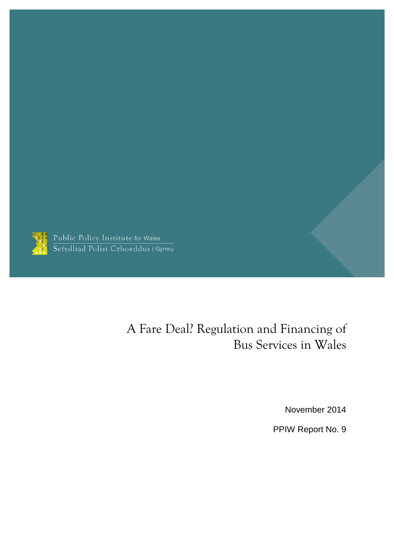

Public Policy Institute for Wales<br>Sefydliad Polisi Cyhoeddus i Gymru

# A Fare Deal? Regulation and Financing of Bus Services in Wales

November 2014

PPIW Report No. 9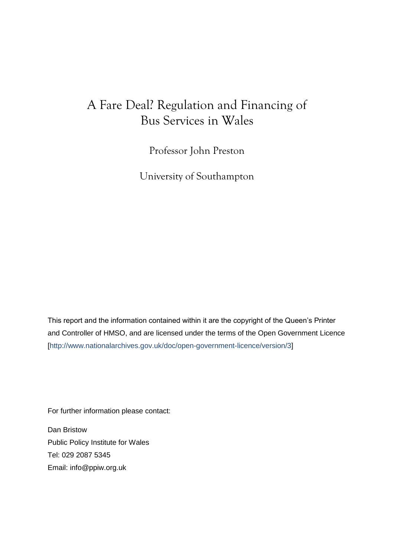## A Fare Deal? Regulation and Financing of Bus Services in Wales

Professor John Preston

University of Southampton

This report and the information contained within it are the copyright of the Queen's Printer and Controller of HMSO, and are licensed under the terms of the Open Government Licence [\[http://www.nationalarchives.gov.uk/doc/open-government-licence/version/3\]](http://www.nationalarchives.gov.uk/doc/open-government-licence/version/3)

For further information please contact:

Dan Bristow Public Policy Institute for Wales Tel: 029 2087 5345 Email: [info@ppiw.org.uk](mailto:info@ppiw.org.uk)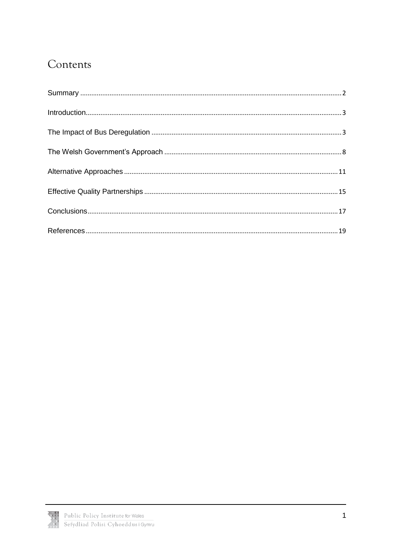# Contents

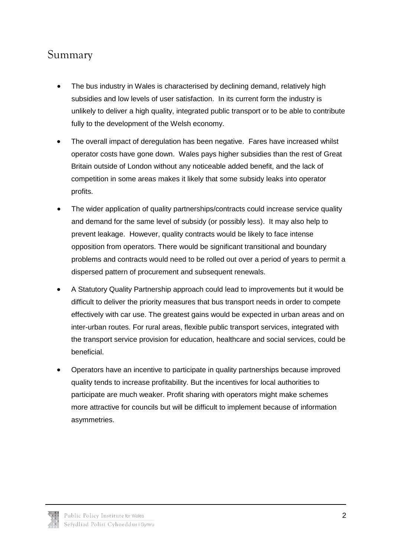## <span id="page-3-0"></span>Summary

- The bus industry in Wales is characterised by declining demand, relatively high subsidies and low levels of user satisfaction. In its current form the industry is unlikely to deliver a high quality, integrated public transport or to be able to contribute fully to the development of the Welsh economy.
- The overall impact of deregulation has been negative. Fares have increased whilst operator costs have gone down. Wales pays higher subsidies than the rest of Great Britain outside of London without any noticeable added benefit, and the lack of competition in some areas makes it likely that some subsidy leaks into operator profits.
- The wider application of quality partnerships/contracts could increase service quality and demand for the same level of subsidy (or possibly less). It may also help to prevent leakage. However, quality contracts would be likely to face intense opposition from operators. There would be significant transitional and boundary problems and contracts would need to be rolled out over a period of years to permit a dispersed pattern of procurement and subsequent renewals.
- A Statutory Quality Partnership approach could lead to improvements but it would be difficult to deliver the priority measures that bus transport needs in order to compete effectively with car use. The greatest gains would be expected in urban areas and on inter-urban routes. For rural areas, flexible public transport services, integrated with the transport service provision for education, healthcare and social services, could be beneficial.
- Operators have an incentive to participate in quality partnerships because improved quality tends to increase profitability. But the incentives for local authorities to participate are much weaker. Profit sharing with operators might make schemes more attractive for councils but will be difficult to implement because of information asymmetries.

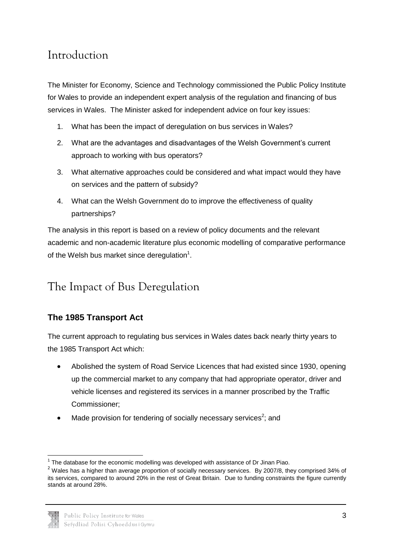## <span id="page-4-0"></span>Introduction

The Minister for Economy, Science and Technology commissioned the Public Policy Institute for Wales to provide an independent expert analysis of the regulation and financing of bus services in Wales. The Minister asked for independent advice on four key issues:

- 1. What has been the impact of deregulation on bus services in Wales?
- 2. What are the advantages and disadvantages of the Welsh Government's current approach to working with bus operators?
- 3. What alternative approaches could be considered and what impact would they have on services and the pattern of subsidy?
- 4. What can the Welsh Government do to improve the effectiveness of quality partnerships?

The analysis in this report is based on a review of policy documents and the relevant academic and non-academic literature plus economic modelling of comparative performance of the Welsh bus market since deregulation $1$ .

# <span id="page-4-1"></span>The Impact of Bus Deregulation

### **The 1985 Transport Act**

The current approach to regulating bus services in Wales dates back nearly thirty years to the 1985 Transport Act which:

- Abolished the system of Road Service Licences that had existed since 1930, opening up the commercial market to any company that had appropriate operator, driver and vehicle licenses and registered its services in a manner proscribed by the Traffic Commissioner;
- Made provision for tendering of socially necessary services<sup>2</sup>; and

<sup>&</sup>lt;sup>2</sup> Wales has a higher than average proportion of socially necessary services. By 2007/8, they comprised 34% of its services, compared to around 20% in the rest of Great Britain. Due to funding constraints the figure currently stands at around 28%.



 1 The database for the economic modelling was developed with assistance of Dr Jinan Piao.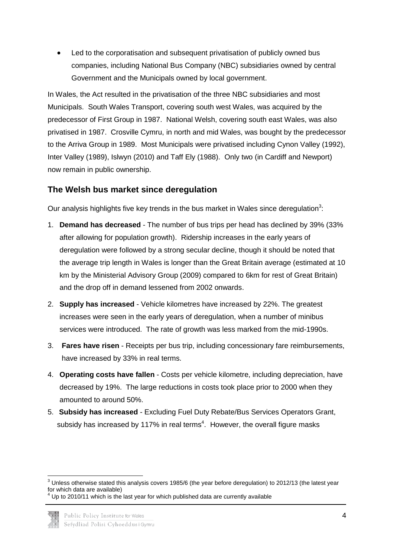Led to the corporatisation and subsequent privatisation of publicly owned bus companies, including National Bus Company (NBC) subsidiaries owned by central Government and the Municipals owned by local government.

In Wales, the Act resulted in the privatisation of the three NBC subsidiaries and most Municipals. South Wales Transport, covering south west Wales, was acquired by the predecessor of First Group in 1987. National Welsh, covering south east Wales, was also privatised in 1987. Crosville Cymru, in north and mid Wales, was bought by the predecessor to the Arriva Group in 1989. Most Municipals were privatised including Cynon Valley (1992), Inter Valley (1989), Islwyn (2010) and Taff Ely (1988). Only two (in Cardiff and Newport) now remain in public ownership.

### **The Welsh bus market since deregulation**

Our analysis highlights five key trends in the bus market in Wales since deregulation<sup>3</sup>:

- 1. **Demand has decreased** The number of bus trips per head has declined by 39% (33% after allowing for population growth). Ridership increases in the early years of deregulation were followed by a strong secular decline, though it should be noted that the average trip length in Wales is longer than the Great Britain average (estimated at 10 km by the Ministerial Advisory Group (2009) compared to 6km for rest of Great Britain) and the drop off in demand lessened from 2002 onwards.
- 2. **Supply has increased** Vehicle kilometres have increased by 22%. The greatest increases were seen in the early years of deregulation, when a number of minibus services were introduced. The rate of growth was less marked from the mid-1990s.
- 3. **Fares have risen** Receipts per bus trip, including concessionary fare reimbursements, have increased by 33% in real terms.
- 4. **Operating costs have fallen** Costs per vehicle kilometre, including depreciation, have decreased by 19%. The large reductions in costs took place prior to 2000 when they amounted to around 50%.
- 5. **Subsidy has increased** Excluding Fuel Duty Rebate/Bus Services Operators Grant, subsidy has increased by 117% in real terms<sup>4</sup>. However, the overall figure masks

**<sup>.</sup>**  $3$  Unless otherwise stated this analysis covers 1985/6 (the year before deregulation) to 2012/13 (the latest year for which data are available)

Up to 2010/11 which is the last year for which published data are currently available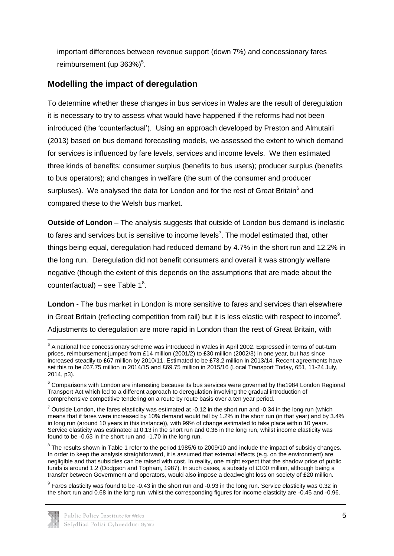important differences between revenue support (down 7%) and concessionary fares reimbursement (up  $363\%)^5$ .

### **Modelling the impact of deregulation**

To determine whether these changes in bus services in Wales are the result of deregulation it is necessary to try to assess what would have happened if the reforms had not been introduced (the 'counterfactual'). Using an approach developed by Preston and Almutairi (2013) based on bus demand forecasting models, we assessed the extent to which demand for services is influenced by fare levels, services and income levels. We then estimated three kinds of benefits: consumer surplus (benefits to bus users); producer surplus (benefits to bus operators); and changes in welfare (the sum of the consumer and producer surpluses). We analysed the data for London and for the rest of Great Britain<sup>6</sup> and compared these to the Welsh bus market.

**Outside of London** – The analysis suggests that outside of London bus demand is inelastic to fares and services but is sensitive to income levels<sup>7</sup>. The model estimated that, other things being equal, deregulation had reduced demand by 4.7% in the short run and 12.2% in the long run. Deregulation did not benefit consumers and overall it was strongly welfare negative (though the extent of this depends on the assumptions that are made about the counterfactual) – see Table  $1^8$ .

**London** - The bus market in London is more sensitive to fares and services than elsewhere in Great Britain (reflecting competition from rail) but it is less elastic with respect to income<sup>9</sup>. Adjustments to deregulation are more rapid in London than the rest of Great Britain, with

 $^9$  Fares elasticity was found to be -0.43 in the short run and -0.93 in the long run. Service elasticity was 0.32 in the short run and 0.68 in the long run, whilst the corresponding figures for income elasticity are -0.45 and -0.96.



 5 A national free concessionary scheme was introduced in Wales in April 2002. Expressed in terms of out-turn prices, reimbursement jumped from £14 million (2001/2) to £30 million (2002/3) in one year, but has since increased steadily to £67 million by 2010/11. Estimated to be £73.2 million in 2013/14. Recent agreements have set this to be £67.75 million in 2014/15 and £69.75 million in 2015/16 (Local Transport Today, 651, 11-24 July, 2014, p3).

<sup>&</sup>lt;sup>6</sup> Comparisons with London are interesting because its bus services were governed by the1984 London Regional Transport Act which led to a different approach to deregulation involving the gradual introduction of comprehensive competitive tendering on a route by route basis over a ten year period.

 $^7$  Outside London, the fares elasticity was estimated at -0.12 in the short run and -0.34 in the long run (which means that if fares were increased by 10% demand would fall by 1.2% in the short run (in that year) and by 3.4% in long run (around 10 years in this instance)), with 99% of change estimated to take place within 10 years. Service elasticity was estimated at 0.13 in the short run and 0.36 in the long run, whilst income elasticity was found to be -0.63 in the short run and -1.70 in the long run.

 $8$  The results shown in Table 1 refer to the period 1985/6 to 2009/10 and include the impact of subsidy changes. In order to keep the analysis straightforward, it is assumed that external effects (e.g. on the environment) are negligible and that subsidies can be raised with cost. In reality, one might expect that the shadow price of public funds is around 1.2 (Dodgson and Topham, 1987). In such cases, a subsidy of £100 million, although being a transfer between Government and operators, would also impose a deadweight loss on society of £20 million.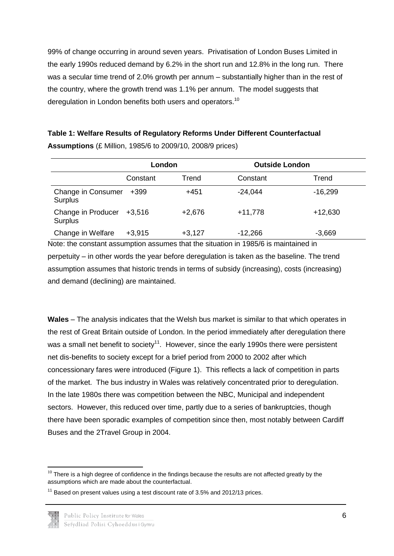99% of change occurring in around seven years. Privatisation of London Buses Limited in the early 1990s reduced demand by 6.2% in the short run and 12.8% in the long run. There was a secular time trend of 2.0% growth per annum – substantially higher than in the rest of the country, where the growth trend was 1.1% per annum. The model suggests that deregulation in London benefits both users and operators.<sup>10</sup>

| Table 1: Welfare Results of Regulatory Reforms Under Different Counterfactual |  |
|-------------------------------------------------------------------------------|--|
| <b>Assumptions</b> (£ Million, 1985/6 to 2009/10, 2008/9 prices)              |  |

|                                      |          | London   | <b>Outside London</b> |           |
|--------------------------------------|----------|----------|-----------------------|-----------|
|                                      | Constant | Trend    | Constant              | Trend     |
| Change in Consumer<br><b>Surplus</b> | $+399$   | $+451$   | $-24,044$             | $-16,299$ |
| Change in Producer<br><b>Surplus</b> | $+3,516$ | $+2,676$ | $+11,778$             | $+12,630$ |
| Change in Welfare                    | $+3,915$ | $+3,127$ | $-12,266$             | $-3,669$  |

Note: the constant assumption assumes that the situation in 1985/6 is maintained in perpetuity – in other words the year before deregulation is taken as the baseline. The trend assumption assumes that historic trends in terms of subsidy (increasing), costs (increasing) and demand (declining) are maintained.

**Wales** – The analysis indicates that the Welsh bus market is similar to that which operates in the rest of Great Britain outside of London. In the period immediately after deregulation there was a small net benefit to society<sup>11</sup>. However, since the early 1990s there were persistent net dis-benefits to society except for a brief period from 2000 to 2002 after which concessionary fares were introduced (Figure 1). This reflects a lack of competition in parts of the market. The bus industry in Wales was relatively concentrated prior to deregulation. In the late 1980s there was competition between the NBC, Municipal and independent sectors. However, this reduced over time, partly due to a series of bankruptcies, though there have been sporadic examples of competition since then, most notably between Cardiff Buses and the 2Travel Group in 2004.



**<sup>.</sup>**  $10$  There is a high degree of confidence in the findings because the results are not affected greatly by the assumptions which are made about the counterfactual.

 $11$  Based on present values using a test discount rate of 3.5% and 2012/13 prices.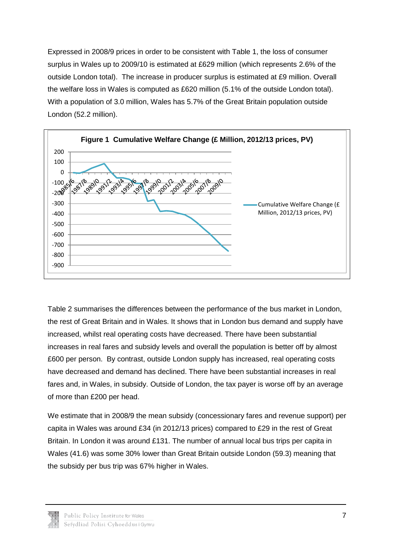Expressed in 2008/9 prices in order to be consistent with Table 1, the loss of consumer surplus in Wales up to 2009/10 is estimated at £629 million (which represents 2.6% of the outside London total). The increase in producer surplus is estimated at £9 million. Overall the welfare loss in Wales is computed as £620 million (5.1% of the outside London total). With a population of 3.0 million, Wales has 5.7% of the Great Britain population outside London (52.2 million).



Table 2 summarises the differences between the performance of the bus market in London, the rest of Great Britain and in Wales. It shows that in London bus demand and supply have increased, whilst real operating costs have decreased. There have been substantial increases in real fares and subsidy levels and overall the population is better off by almost £600 per person. By contrast, outside London supply has increased, real operating costs have decreased and demand has declined. There have been substantial increases in real fares and, in Wales, in subsidy. Outside of London, the tax payer is worse off by an average of more than £200 per head.

We estimate that in 2008/9 the mean subsidy (concessionary fares and revenue support) per capita in Wales was around £34 (in 2012/13 prices) compared to £29 in the rest of Great Britain. In London it was around £131. The number of annual local bus trips per capita in Wales (41.6) was some 30% lower than Great Britain outside London (59.3) meaning that the subsidy per bus trip was 67% higher in Wales.

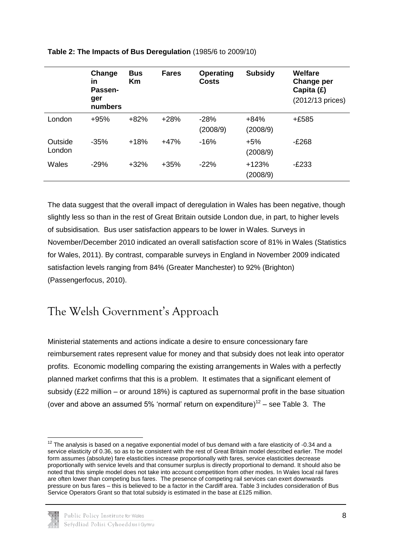|                   | Change<br>in<br>Passen-<br>ger<br>numbers | <b>Bus</b><br>Km | <b>Fares</b> | <b>Operating</b><br><b>Costs</b> | <b>Subsidy</b>      | Welfare<br>Change per<br>Capita (£)<br>(2012/13 prices) |
|-------------------|-------------------------------------------|------------------|--------------|----------------------------------|---------------------|---------------------------------------------------------|
| London            | $+95%$                                    | $+82%$           | $+28%$       | $-28%$<br>(2008/9)               | $+84%$<br>(2008/9)  | +£585                                                   |
| Outside<br>London | $-35%$                                    | $+18%$           | $+47%$       | $-16%$                           | $+5%$<br>(2008/9)   | $-E268$                                                 |
| Wales             | $-29%$                                    | $+32%$           | $+35%$       | $-22%$                           | $+123%$<br>(2008/9) | $-E233$                                                 |

#### **Table 2: The Impacts of Bus Deregulation** (1985/6 to 2009/10)

The data suggest that the overall impact of deregulation in Wales has been negative, though slightly less so than in the rest of Great Britain outside London due, in part, to higher levels of subsidisation. Bus user satisfaction appears to be lower in Wales. Surveys in November/December 2010 indicated an overall satisfaction score of 81% in Wales (Statistics for Wales, 2011). By contrast, comparable surveys in England in November 2009 indicated satisfaction levels ranging from 84% (Greater Manchester) to 92% (Brighton) (Passengerfocus, 2010).

## <span id="page-9-0"></span>The Welsh Government's Approach

Ministerial statements and actions indicate a desire to ensure concessionary fare reimbursement rates represent value for money and that subsidy does not leak into operator profits. Economic modelling comparing the existing arrangements in Wales with a perfectly planned market confirms that this is a problem. It estimates that a significant element of subsidy (£22 million – or around 18%) is captured as supernormal profit in the base situation (over and above an assumed 5% 'normal' return on expenditure)<sup>12</sup> – see Table 3. The

**<sup>.</sup>**  $12$  The analysis is based on a negative exponential model of bus demand with a fare elasticity of -0.34 and a service elasticity of 0.36, so as to be consistent with the rest of Great Britain model described earlier. The model form assumes (absolute) fare elasticities increase proportionally with fares, service elasticities decrease proportionally with service levels and that consumer surplus is directly proportional to demand. It should also be noted that this simple model does not take into account competition from other modes. In Wales local rail fares are often lower than competing bus fares. The presence of competing rail services can exert downwards pressure on bus fares – this is believed to be a factor in the Cardiff area. Table 3 includes consideration of Bus Service Operators Grant so that total subsidy is estimated in the base at £125 million.

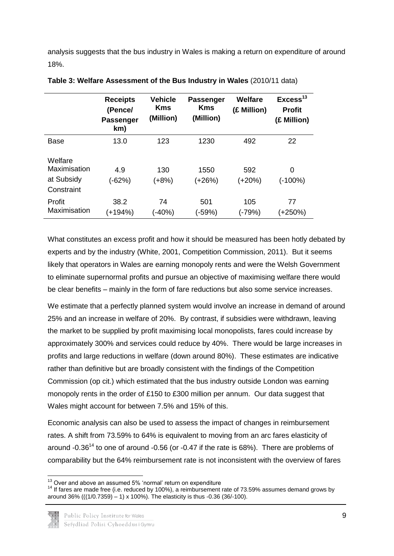analysis suggests that the bus industry in Wales is making a return on expenditure of around 18%.

|                                                     | <b>Receipts</b><br>(Pence/<br><b>Passenger</b><br>km) | <b>Vehicle</b><br><b>Kms</b><br>(Million) | <b>Passenger</b><br><b>Kms</b><br>(Million) | Welfare<br>(£ Million) | Excess <sup>13</sup><br><b>Profit</b><br>(£ Million) |
|-----------------------------------------------------|-------------------------------------------------------|-------------------------------------------|---------------------------------------------|------------------------|------------------------------------------------------|
| <b>Base</b>                                         | 13.0                                                  | 123                                       | 1230                                        | 492                    | 22                                                   |
| Welfare<br>Maximisation<br>at Subsidy<br>Constraint | 4.9<br>(-62%)                                         | 130<br>$(+8%)$                            | 1550<br>(+26%)                              | 592<br>(+20%)          | 0<br>(-100%)                                         |
| Profit<br>Maximisation                              | 38.2<br>(+194%)                                       | 74<br>$( -40\%)$                          | 501<br>(-59%)                               | 105<br>(-79%)          | 77<br>$(+250%)$                                      |

|  | Table 3: Welfare Assessment of the Bus Industry in Wales (2010/11 data) |  |  |  |  |  |  |
|--|-------------------------------------------------------------------------|--|--|--|--|--|--|
|--|-------------------------------------------------------------------------|--|--|--|--|--|--|

What constitutes an excess profit and how it should be measured has been hotly debated by experts and by the industry (White, 2001, Competition Commission, 2011). But it seems likely that operators in Wales are earning monopoly rents and were the Welsh Government to eliminate supernormal profits and pursue an objective of maximising welfare there would be clear benefits – mainly in the form of fare reductions but also some service increases.

We estimate that a perfectly planned system would involve an increase in demand of around 25% and an increase in welfare of 20%. By contrast, if subsidies were withdrawn, leaving the market to be supplied by profit maximising local monopolists, fares could increase by approximately 300% and services could reduce by 40%. There would be large increases in profits and large reductions in welfare (down around 80%). These estimates are indicative rather than definitive but are broadly consistent with the findings of the Competition Commission (op cit.) which estimated that the bus industry outside London was earning monopoly rents in the order of £150 to £300 million per annum. Our data suggest that Wales might account for between 7.5% and 15% of this.

Economic analysis can also be used to assess the impact of changes in reimbursement rates. A shift from 73.59% to 64% is equivalent to moving from an arc fares elasticity of around -0.36<sup>14</sup> to one of around -0.56 (or -0.47 if the rate is 68%). There are problems of comparability but the 64% reimbursement rate is not inconsistent with the overview of fares

**<sup>.</sup>**  $13$  Over and above an assumed 5% 'normal' return on expenditure

<sup>14</sup> If fares are made free (i.e. reduced by 100%), a reimbursement rate of 73.59% assumes demand grows by around 36% (((1/0.7359) – 1) x 100%). The elasticity is thus -0.36 (36/-100).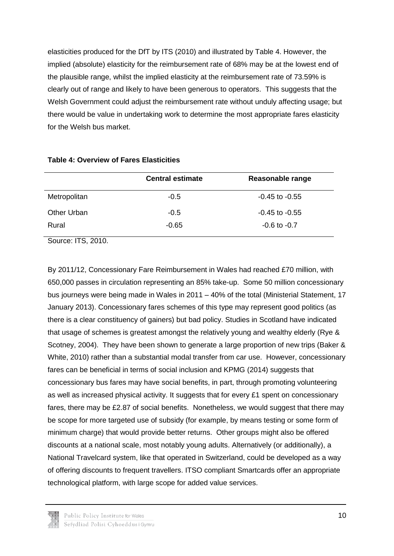elasticities produced for the DfT by ITS (2010) and illustrated by Table 4. However, the implied (absolute) elasticity for the reimbursement rate of 68% may be at the lowest end of the plausible range, whilst the implied elasticity at the reimbursement rate of 73.59% is clearly out of range and likely to have been generous to operators. This suggests that the Welsh Government could adjust the reimbursement rate without unduly affecting usage; but there would be value in undertaking work to determine the most appropriate fares elasticity for the Welsh bus market.

| <b>Central estimate</b> | Reasonable range   |
|-------------------------|--------------------|
| $-0.5$                  | $-0.45$ to $-0.55$ |
| $-0.5$                  | $-0.45$ to $-0.55$ |
| $-0.65$                 | $-0.6$ to $-0.7$   |
|                         |                    |

#### **Table 4: Overview of Fares Elasticities**

Source: ITS, 2010.

By 2011/12, Concessionary Fare Reimbursement in Wales had reached £70 million, with 650,000 passes in circulation representing an 85% take-up. Some 50 million concessionary bus journeys were being made in Wales in 2011 – 40% of the total (Ministerial Statement, 17 January 2013). Concessionary fares schemes of this type may represent good politics (as there is a clear constituency of gainers) but bad policy. Studies in Scotland have indicated that usage of schemes is greatest amongst the relatively young and wealthy elderly (Rye & Scotney, 2004). They have been shown to generate a large proportion of new trips (Baker & White, 2010) rather than a substantial modal transfer from car use. However, concessionary fares can be beneficial in terms of social inclusion and KPMG (2014) suggests that concessionary bus fares may have social benefits, in part, through promoting volunteering as well as increased physical activity. It suggests that for every £1 spent on concessionary fares, there may be £2.87 of social benefits. Nonetheless, we would suggest that there may be scope for more targeted use of subsidy (for example, by means testing or some form of minimum charge) that would provide better returns. Other groups might also be offered discounts at a national scale, most notably young adults. Alternatively (or additionally), a National Travelcard system, like that operated in Switzerland, could be developed as a way of offering discounts to frequent travellers. ITSO compliant Smartcards offer an appropriate technological platform, with large scope for added value services.

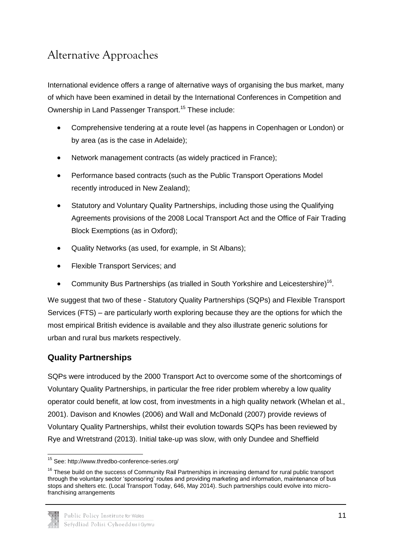# <span id="page-12-0"></span>Alternative Approaches

International evidence offers a range of alternative ways of organising the bus market, many of which have been examined in detail by the International Conferences in Competition and Ownership in Land Passenger Transport.<sup>15</sup> These include:

- Comprehensive tendering at a route level (as happens in Copenhagen or London) or by area (as is the case in Adelaide);
- Network management contracts (as widely practiced in France);
- Performance based contracts (such as the Public Transport Operations Model recently introduced in New Zealand);
- Statutory and Voluntary Quality Partnerships, including those using the Qualifying Agreements provisions of the 2008 Local Transport Act and the Office of Fair Trading Block Exemptions (as in Oxford);
- Quality Networks (as used, for example, in St Albans);
- Flexible Transport Services; and
- Community Bus Partnerships (as trialled in South Yorkshire and Leicestershire)<sup>16</sup>.

We suggest that two of these - Statutory Quality Partnerships (SQPs) and Flexible Transport Services (FTS) – are particularly worth exploring because they are the options for which the most empirical British evidence is available and they also illustrate generic solutions for urban and rural bus markets respectively.

### **Quality Partnerships**

SQPs were introduced by the 2000 Transport Act to overcome some of the shortcomings of Voluntary Quality Partnerships, in particular the free rider problem whereby a low quality operator could benefit, at low cost, from investments in a high quality network (Whelan et al., 2001). Davison and Knowles (2006) and Wall and McDonald (2007) provide reviews of Voluntary Quality Partnerships, whilst their evolution towards SQPs has been reviewed by Rye and Wretstrand (2013). Initial take-up was slow, with only Dundee and Sheffield

 $\overline{a}$ <sup>15</sup> See: http://www.thredbo-conference-series.org/

<sup>&</sup>lt;sup>16</sup> These build on the success of Community Rail Partnerships in increasing demand for rural public transport through the voluntary sector 'sponsoring' routes and providing marketing and information, maintenance of bus stops and shelters etc. (Local Transport Today, 646, May 2014). Such partnerships could evolve into microfranchising arrangements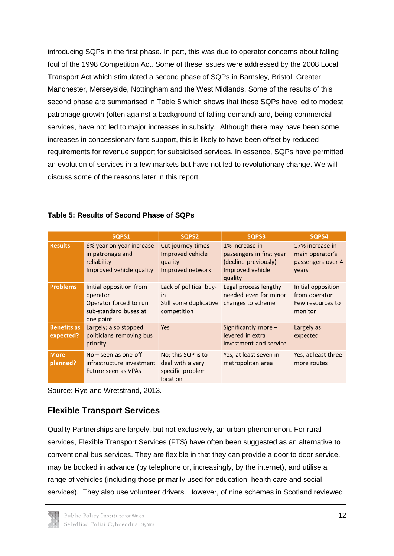introducing SQPs in the first phase. In part, this was due to operator concerns about falling foul of the 1998 Competition Act. Some of these issues were addressed by the 2008 Local Transport Act which stimulated a second phase of SQPs in Barnsley, Bristol, Greater Manchester, Merseyside, Nottingham and the West Midlands. Some of the results of this second phase are summarised in Table 5 which shows that these SQPs have led to modest patronage growth (often against a background of falling demand) and, being commercial services, have not led to major increases in subsidy. Although there may have been some increases in concessionary fare support, this is likely to have been offset by reduced requirements for revenue support for subsidised services. In essence, SQPs have permitted an evolution of services in a few markets but have not led to revolutionary change. We will discuss some of the reasons later in this report.

|                                 | SQPS1                                                                                               | SQPS2                                                                  | SQPS3                                                                                             | SQPS4                                                              |
|---------------------------------|-----------------------------------------------------------------------------------------------------|------------------------------------------------------------------------|---------------------------------------------------------------------------------------------------|--------------------------------------------------------------------|
| <b>Results</b>                  | 6% year on year increase<br>in patronage and<br>reliability<br>Improved vehicle quality             | Cut journey times<br>Improved vehicle<br>quality<br>Improved network   | 1% increase in<br>passengers in first year<br>(decline previously)<br>Improved vehicle<br>quality | 17% increase in<br>main operator's<br>passengers over 4<br>years   |
| <b>Problems</b>                 | Initial opposition from<br>operator<br>Operator forced to run<br>sub-standard buses at<br>one point | Lack of political buy-<br>in<br>Still some duplicative<br>competition  | Legal process lengthy $-$<br>needed even for minor<br>changes to scheme                           | Initial opposition<br>from operator<br>Few resources to<br>monitor |
| <b>Benefits as</b><br>expected? | Largely; also stopped<br>politicians removing bus<br>priority                                       | <b>Yes</b>                                                             | Significantly more $-$<br>levered in extra<br>investment and service                              | Largely as<br>expected                                             |
| <b>More</b><br>planned?         | $No$ – seen as one-off<br>infrastructure investment<br>Future seen as VPAs                          | No; this SQP is to<br>deal with a very<br>specific problem<br>location | Yes, at least seven in<br>metropolitan area                                                       | Yes, at least three<br>more routes                                 |

#### **Table 5: Results of Second Phase of SQPs**

Source: Rye and Wretstrand, 2013.

### **Flexible Transport Services**

Quality Partnerships are largely, but not exclusively, an urban phenomenon. For rural services, Flexible Transport Services (FTS) have often been suggested as an alternative to conventional bus services. They are flexible in that they can provide a door to door service, may be booked in advance (by telephone or, increasingly, by the internet), and utilise a range of vehicles (including those primarily used for education, health care and social services). They also use volunteer drivers. However, of nine schemes in Scotland reviewed

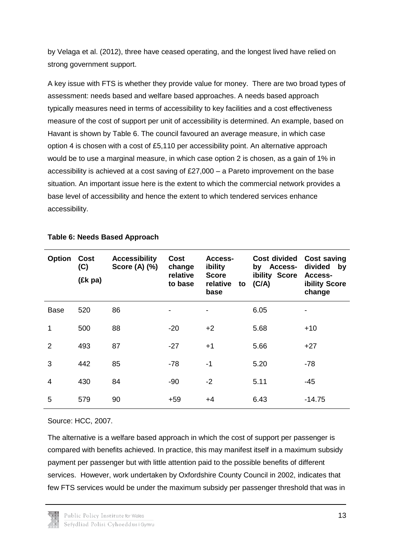by Velaga et al. (2012), three have ceased operating, and the longest lived have relied on strong government support.

A key issue with FTS is whether they provide value for money. There are two broad types of assessment: needs based and welfare based approaches. A needs based approach typically measures need in terms of accessibility to key facilities and a cost effectiveness measure of the cost of support per unit of accessibility is determined. An example, based on Havant is shown by Table 6. The council favoured an average measure, in which case option 4 is chosen with a cost of £5,110 per accessibility point. An alternative approach would be to use a marginal measure, in which case option 2 is chosen, as a gain of 1% in accessibility is achieved at a cost saving of £27,000 – a Pareto improvement on the base situation. An important issue here is the extent to which the commercial network provides a base level of accessibility and hence the extent to which tendered services enhance accessibility.

| Option         | <b>Cost</b><br>(C)<br>(£k pa) | <b>Accessibility</b><br>Score (A) (%) | Cost<br>change<br>relative<br>to base | Access-<br>ibility<br><b>Score</b><br>relative<br>to<br>base | <b>Cost divided</b><br>by Access-<br>ibility Score<br>(C/A) | <b>Cost saving</b><br>divided<br>by<br>Access-<br>ibility Score<br>change |
|----------------|-------------------------------|---------------------------------------|---------------------------------------|--------------------------------------------------------------|-------------------------------------------------------------|---------------------------------------------------------------------------|
| <b>Base</b>    | 520                           | 86                                    |                                       |                                                              | 6.05                                                        |                                                                           |
| 1              | 500                           | 88                                    | $-20$                                 | $+2$                                                         | 5.68                                                        | $+10$                                                                     |
| $\overline{2}$ | 493                           | 87                                    | $-27$                                 | $+1$                                                         | 5.66                                                        | $+27$                                                                     |
| 3              | 442                           | 85                                    | $-78$                                 | $-1$                                                         | 5.20                                                        | $-78$                                                                     |
| $\overline{4}$ | 430                           | 84                                    | $-90$                                 | $-2$                                                         | 5.11                                                        | $-45$                                                                     |
| 5              | 579                           | 90                                    | $+59$                                 | $+4$                                                         | 6.43                                                        | $-14.75$                                                                  |

#### **Table 6: Needs Based Approach**

Source: HCC, 2007.

The alternative is a welfare based approach in which the cost of support per passenger is compared with benefits achieved. In practice, this may manifest itself in a maximum subsidy payment per passenger but with little attention paid to the possible benefits of different services. However, work undertaken by Oxfordshire County Council in 2002, indicates that few FTS services would be under the maximum subsidy per passenger threshold that was in

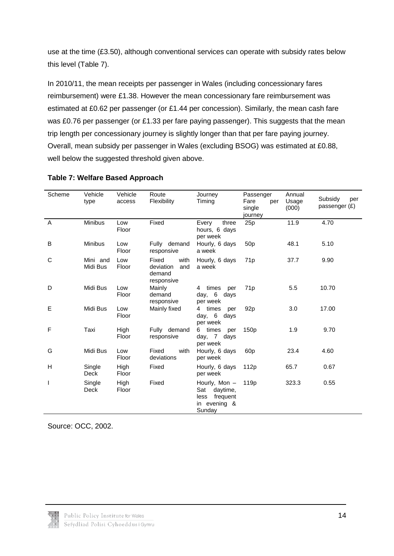use at the time (£3.50), although conventional services can operate with subsidy rates below this level (Table 7).

In 2010/11, the mean receipts per passenger in Wales (including concessionary fares reimbursement) were £1.38. However the mean concessionary fare reimbursement was estimated at £0.62 per passenger (or £1.44 per concession). Similarly, the mean cash fare was £0.76 per passenger (or £1.33 per fare paying passenger). This suggests that the mean trip length per concessionary journey is slightly longer than that per fare paying journey. Overall, mean subsidy per passenger in Wales (excluding BSOG) was estimated at £0.88, well below the suggested threshold given above.

| Scheme | Vehicle<br>type      | Vehicle<br>access | Route<br>Flexibility                                      | Journey<br>Timing                                                              | Passenger<br>Fare<br>per<br>single<br>journey | Annual<br>Usage<br>(000) | Subsidy<br>per<br>passenger $(E)$ |
|--------|----------------------|-------------------|-----------------------------------------------------------|--------------------------------------------------------------------------------|-----------------------------------------------|--------------------------|-----------------------------------|
| A      | Minibus              | Low<br>Floor      | Fixed                                                     | Every<br>three<br>hours, 6 days<br>per week                                    | 25p                                           | 11.9                     | 4.70                              |
| B      | <b>Minibus</b>       | Low<br>Floor      | Fully demand<br>responsive                                | Hourly, 6 days<br>a week                                                       | 50 <sub>p</sub>                               | 48.1                     | 5.10                              |
| C      | Mini and<br>Midi Bus | Low<br>Floor      | Fixed<br>with<br>deviation<br>and<br>demand<br>responsive | Hourly, 6 days<br>a week                                                       | 71 <sub>p</sub>                               | 37.7                     | 9.90                              |
| D      | Midi Bus             | Low<br>Floor      | Mainly<br>demand<br>responsive                            | 4 times<br>per<br>day, 6 days<br>per week                                      | 71 <sub>p</sub>                               | 5.5                      | 10.70                             |
| E      | Midi Bus             | Low<br>Floor      | Mainly fixed                                              | 4 times<br>per<br>day, 6 days<br>per week                                      | 92 <sub>p</sub>                               | 3.0                      | 17.00                             |
| F      | Taxi                 | High<br>Floor     | Fully demand<br>responsive                                | 6 times<br>per<br>day, 7 days<br>per week                                      | 150 <sub>p</sub>                              | 1.9                      | 9.70                              |
| G      | Midi Bus             | Low<br>Floor      | Fixed<br>with<br>deviations                               | Hourly, 6 days<br>per week                                                     | 60 <sub>p</sub>                               | 23.4                     | 4.60                              |
| н      | Single<br>Deck       | High<br>Floor     | Fixed                                                     | Hourly, 6 days<br>per week                                                     | 112 <sub>p</sub>                              | 65.7                     | 0.67                              |
| L      | Single<br>Deck       | High<br>Floor     | Fixed                                                     | Hourly, Mon -<br>daytime,<br>Sat<br>frequent<br>less<br>in evening &<br>Sunday | 119 <sub>p</sub>                              | 323.3                    | 0.55                              |

#### **Table 7: Welfare Based Approach**

Source: OCC, 2002.

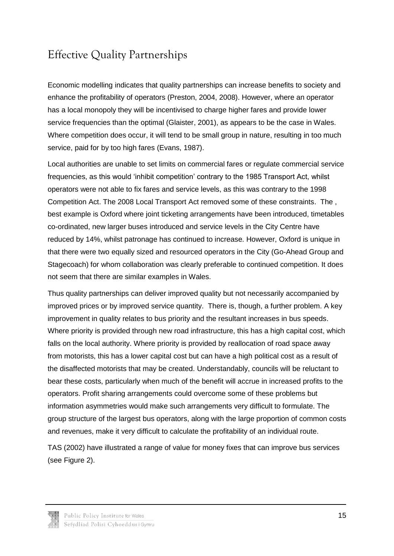# <span id="page-16-0"></span>Effective Quality Partnerships

Economic modelling indicates that quality partnerships can increase benefits to society and enhance the profitability of operators (Preston, 2004, 2008). However, where an operator has a local monopoly they will be incentivised to charge higher fares and provide lower service frequencies than the optimal (Glaister, 2001), as appears to be the case in Wales. Where competition does occur, it will tend to be small group in nature, resulting in too much service, paid for by too high fares (Evans, 1987).

Local authorities are unable to set limits on commercial fares or regulate commercial service frequencies, as this would 'inhibit competition' contrary to the 1985 Transport Act, whilst operators were not able to fix fares and service levels, as this was contrary to the 1998 Competition Act. The 2008 Local Transport Act removed some of these constraints. The , best example is Oxford where joint ticketing arrangements have been introduced, timetables co-ordinated, new larger buses introduced and service levels in the City Centre have reduced by 14%, whilst patronage has continued to increase. However, Oxford is unique in that there were two equally sized and resourced operators in the City (Go-Ahead Group and Stagecoach) for whom collaboration was clearly preferable to continued competition. It does not seem that there are similar examples in Wales.

Thus quality partnerships can deliver improved quality but not necessarily accompanied by improved prices or by improved service quantity. There is, though, a further problem. A key improvement in quality relates to bus priority and the resultant increases in bus speeds. Where priority is provided through new road infrastructure, this has a high capital cost, which falls on the local authority. Where priority is provided by reallocation of road space away from motorists, this has a lower capital cost but can have a high political cost as a result of the disaffected motorists that may be created. Understandably, councils will be reluctant to bear these costs, particularly when much of the benefit will accrue in increased profits to the operators. Profit sharing arrangements could overcome some of these problems but information asymmetries would make such arrangements very difficult to formulate. The group structure of the largest bus operators, along with the large proportion of common costs and revenues, make it very difficult to calculate the profitability of an individual route.

TAS (2002) have illustrated a range of value for money fixes that can improve bus services (see Figure 2).

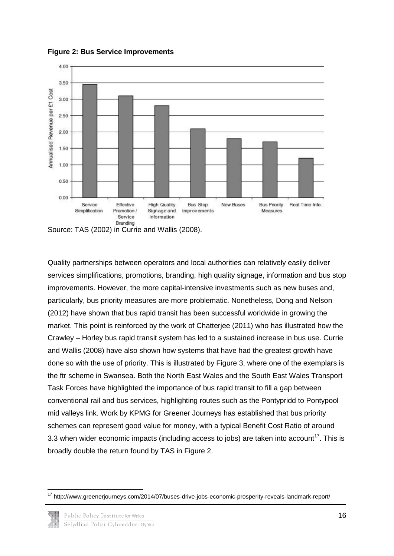

**Figure 2: Bus Service Improvements**

Source: TAS (2002) in Currie and Wallis (2008).

Quality partnerships between operators and local authorities can relatively easily deliver services simplifications, promotions, branding, high quality signage, information and bus stop improvements. However, the more capital-intensive investments such as new buses and, particularly, bus priority measures are more problematic. Nonetheless, Dong and Nelson (2012) have shown that bus rapid transit has been successful worldwide in growing the market. This point is reinforced by the work of Chatterjee (2011) who has illustrated how the Crawley – Horley bus rapid transit system has led to a sustained increase in bus use. Currie and Wallis (2008) have also shown how systems that have had the greatest growth have done so with the use of priority. This is illustrated by Figure 3, where one of the exemplars is the ftr scheme in Swansea. Both the North East Wales and the South East Wales Transport Task Forces have highlighted the importance of bus rapid transit to fill a gap between conventional rail and bus services, highlighting routes such as the Pontypridd to Pontypool mid valleys link. Work by KPMG for Greener Journeys has established that bus priority schemes can represent good value for money, with a typical Benefit Cost Ratio of around 3.3 when wider economic impacts (including access to jobs) are taken into account<sup>17</sup>. This is broadly double the return found by TAS in Figure 2.

**<sup>.</sup>** <sup>17</sup> http://www.greenerjourneys.com/2014/07/buses-drive-jobs-economic-prosperity-reveals-landmark-report/

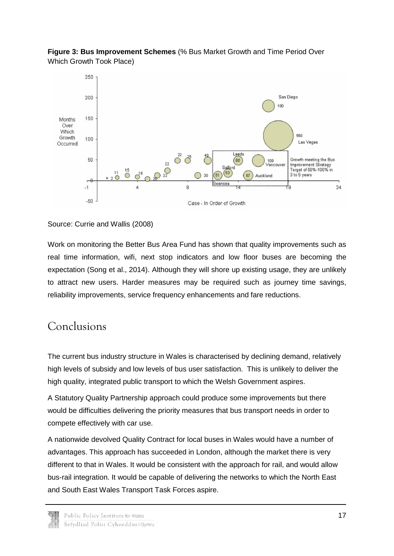

Leeds

 $60^{\circ}$ 

 $67$ 

Salford

 $51$ 

Case - In Order of Growth

30

 $100$ ancouver

Auckland

 $\frac{22}{22}$ 

 $\overline{O}$   $\overline{O}$   $\overline{O}$   $\overline{O}$   $\overline{O}$   $\overline{2Q}$   $\overline{2Q}$ 

550

,<br>g

Las Vegas

Growth meeting the Bus

Improvement Strategy

Target of 50%-100% in 3 to 5 years

 $24$ 

**Figure 3: Bus Improvement Schemes** (% Bus Market Growth and Time Period Over Which Growth Took Place)

### Source: Currie and Wallis (2008)

Work on monitoring the Better Bus Area Fund has shown that quality improvements such as real time information, wifi, next stop indicators and low floor buses are becoming the expectation (Song et al., 2014). Although they will shore up existing usage, they are unlikely to attract new users. Harder measures may be required such as journey time savings, reliability improvements, service frequency enhancements and fare reductions.

### <span id="page-18-0"></span>Conclusions

Over Which

Growth

Occurred

100

50

 $\overline{\phantom{0}}$ 

 $-50$ 

 $-1$ 

The current bus industry structure in Wales is characterised by declining demand, relatively high levels of subsidy and low levels of bus user satisfaction. This is unlikely to deliver the high quality, integrated public transport to which the Welsh Government aspires.

A Statutory Quality Partnership approach could produce some improvements but there would be difficulties delivering the priority measures that bus transport needs in order to compete effectively with car use.

A nationwide devolved Quality Contract for local buses in Wales would have a number of advantages. This approach has succeeded in London, although the market there is very different to that in Wales. It would be consistent with the approach for rail, and would allow bus-rail integration. It would be capable of delivering the networks to which the North East and South East Wales Transport Task Forces aspire.

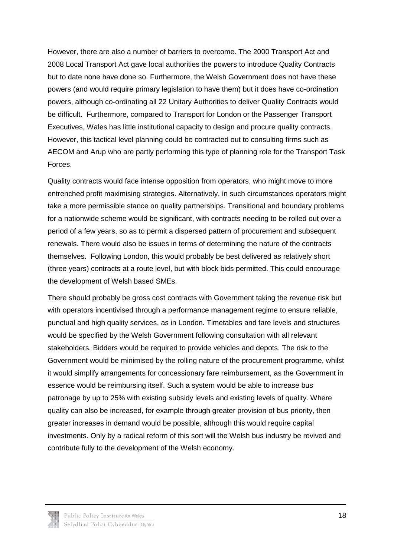However, there are also a number of barriers to overcome. The 2000 Transport Act and 2008 Local Transport Act gave local authorities the powers to introduce Quality Contracts but to date none have done so. Furthermore, the Welsh Government does not have these powers (and would require primary legislation to have them) but it does have co-ordination powers, although co-ordinating all 22 Unitary Authorities to deliver Quality Contracts would be difficult. Furthermore, compared to Transport for London or the Passenger Transport Executives, Wales has little institutional capacity to design and procure quality contracts. However, this tactical level planning could be contracted out to consulting firms such as AECOM and Arup who are partly performing this type of planning role for the Transport Task Forces.

Quality contracts would face intense opposition from operators, who might move to more entrenched profit maximising strategies. Alternatively, in such circumstances operators might take a more permissible stance on quality partnerships. Transitional and boundary problems for a nationwide scheme would be significant, with contracts needing to be rolled out over a period of a few years, so as to permit a dispersed pattern of procurement and subsequent renewals. There would also be issues in terms of determining the nature of the contracts themselves. Following London, this would probably be best delivered as relatively short (three years) contracts at a route level, but with block bids permitted. This could encourage the development of Welsh based SMEs.

There should probably be gross cost contracts with Government taking the revenue risk but with operators incentivised through a performance management regime to ensure reliable, punctual and high quality services, as in London. Timetables and fare levels and structures would be specified by the Welsh Government following consultation with all relevant stakeholders. Bidders would be required to provide vehicles and depots. The risk to the Government would be minimised by the rolling nature of the procurement programme, whilst it would simplify arrangements for concessionary fare reimbursement, as the Government in essence would be reimbursing itself. Such a system would be able to increase bus patronage by up to 25% with existing subsidy levels and existing levels of quality. Where quality can also be increased, for example through greater provision of bus priority, then greater increases in demand would be possible, although this would require capital investments. Only by a radical reform of this sort will the Welsh bus industry be revived and contribute fully to the development of the Welsh economy.

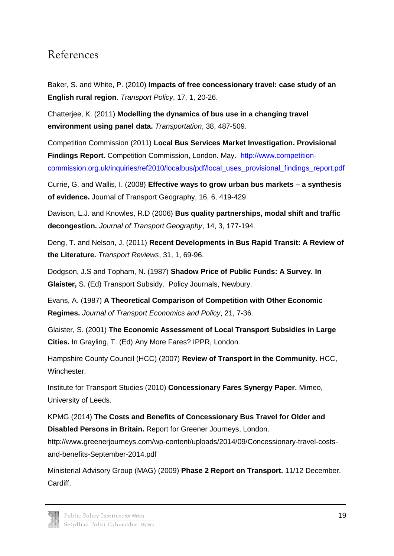## <span id="page-20-0"></span>References

Baker, S. and White, P. (2010) **Impacts of free concessionary travel: case study of an English rural region**. *Transport Policy*, 17, 1, 20-26.

Chatterjee, K. (2011) **Modelling the dynamics of bus use in a changing travel environment using panel data.** *Transportation*, 38, 487-509.

Competition Commission (2011) **Local Bus Services Market Investigation. Provisional Findings Report.** Competition Commission, London. May. [http://www.competition](http://www.competition-commission.org.uk/inquiries/ref2010/localbus/pdf/local_uses_provisional_findings_report.pdf)[commission.org.uk/inquiries/ref2010/localbus/pdf/local\\_uses\\_provisional\\_findings\\_report.pdf](http://www.competition-commission.org.uk/inquiries/ref2010/localbus/pdf/local_uses_provisional_findings_report.pdf)

Currie, G. and Wallis, I. (2008) **Effective ways to grow urban bus markets – a synthesis of evidence.** Journal of Transport Geography, 16, 6, 419-429.

Davison, L.J. and Knowles, R.D (2006) **Bus quality partnerships, modal shift and traffic decongestion.** *Journal of Transport Geography*, 14, 3, 177-194.

Deng, T. and Nelson, J. (2011) **Recent Developments in Bus Rapid Transit: A Review of the Literature.** *Transport Reviews*, 31, 1, 69-96.

Dodgson, J.S and Topham, N. (1987) **Shadow Price of Public Funds: A Survey. In Glaister,** S. (Ed) Transport Subsidy. Policy Journals, Newbury.

Evans, A. (1987) **A Theoretical Comparison of Competition with Other Economic Regimes.** *Journal of Transport Economics and Policy*, 21, 7-36.

Glaister, S. (2001) **The Economic Assessment of Local Transport Subsidies in Large Cities.** In Grayling, T. (Ed) Any More Fares? IPPR, London.

Hampshire County Council (HCC) (2007) **Review of Transport in the Community.** HCC, Winchester.

Institute for Transport Studies (2010) **Concessionary Fares Synergy Paper.** Mimeo, University of Leeds.

KPMG (2014) **The Costs and Benefits of Concessionary Bus Travel for Older and Disabled Persons in Britain.** Report for Greener Journeys, London.

http://www.greenerjourneys.com/wp-content/uploads/2014/09/Concessionary-travel-costsand-benefits-September-2014.pdf

Ministerial Advisory Group (MAG) (2009) **Phase 2 Report on Transport.** 11/12 December. **Cardiff.** 

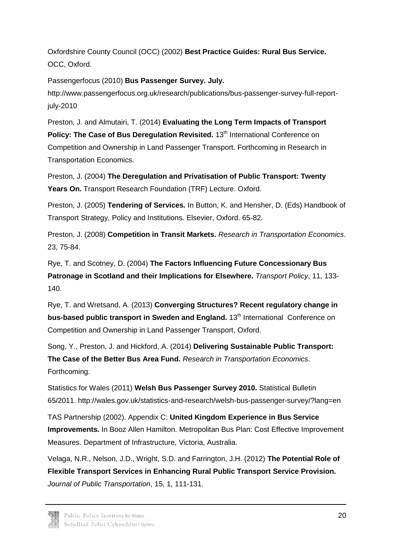Oxfordshire County Council (OCC) (2002) **Best Practice Guides: Rural Bus Service.** OCC, Oxford.

Passengerfocus (2010) **Bus Passenger Survey. July.**

http://www.passengerfocus.org.uk/research/publications/bus-passenger-survey-full-reportjuly-2010

Preston, J. and Almutairi, T. (2014) **Evaluating the Long Term Impacts of Transport Policy: The Case of Bus Deregulation Revisited.** 13<sup>th</sup> International Conference on Competition and Ownership in Land Passenger Transport. Forthcoming in Research in Transportation Economics.

Preston, J. (2004) **The Deregulation and Privatisation of Public Transport: Twenty Years On.** Transport Research Foundation (TRF) Lecture. Oxford.

Preston, J. (2005) **Tendering of Services***.* In Button, K. and Hensher, D. (Eds) Handbook of Transport Strategy, Policy and Institutions. Elsevier, Oxford. 65-82.

Preston, J. (2008) **Competition in Transit Markets.** *Research in Transportation Economics*. 23, 75-84.

Rye, T. and Scotney, D. (2004) **The Factors Influencing Future Concessionary Bus Patronage in Scotland and their Implications for Elsewhere.** *Transport Policy*, 11, 133- 140.

Rye, T. and Wretsand, A. (2013) **Converging Structures? Recent regulatory change in bus-based public transport in Sweden and England.** 13<sup>th</sup> International Conference on Competition and Ownership in Land Passenger Transport, Oxford.

Song, Y., Preston, J. and Hickford, A. (2014) **Delivering Sustainable Public Transport: The Case of the Better Bus Area Fund.** *Research in Transportation Economics*. Forthcoming.

Statistics for Wales (2011) **Welsh Bus Passenger Survey 2010.** Statistical Bulletin 65/2011. http://wales.gov.uk/statistics-and-research/welsh-bus-passenger-survey/?lang=en

TAS Partnership (2002). Appendix C: **United Kingdom Experience in Bus Service Improvements.** In Booz Allen Hamilton. Metropolitan Bus Plan: Cost Effective Improvement Measures. Department of Infrastructure, Victoria, Australia.

Velaga, N.R., Nelson, J.D., Wright, S.D. and Farrington, J.H. (2012) **The Potential Role of Flexible Transport Services in Enhancing Rural Public Transport Service Provision.**  *Journal of Public Transportation*, 15, 1, 111-131.

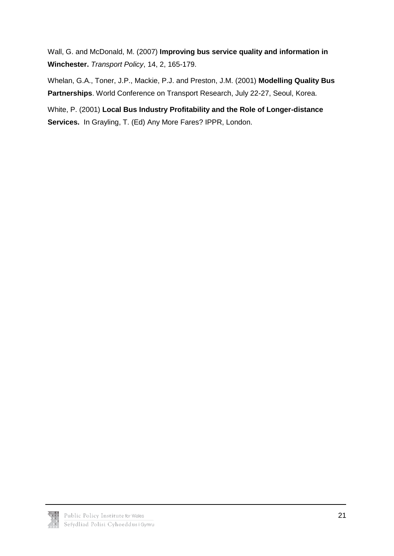Wall, G. and McDonald, M. (2007) **Improving bus service quality and information in Winchester.** *Transport Policy*, 14, 2, 165-179.

Whelan, G.A., Toner, J.P., Mackie, P.J. and Preston, J.M. (2001) **Modelling Quality Bus Partnerships**. World Conference on Transport Research, July 22-27, Seoul, Korea.

White, P. (2001) **Local Bus Industry Profitability and the Role of Longer-distance Services.** In Grayling, T. (Ed) Any More Fares? IPPR, London.